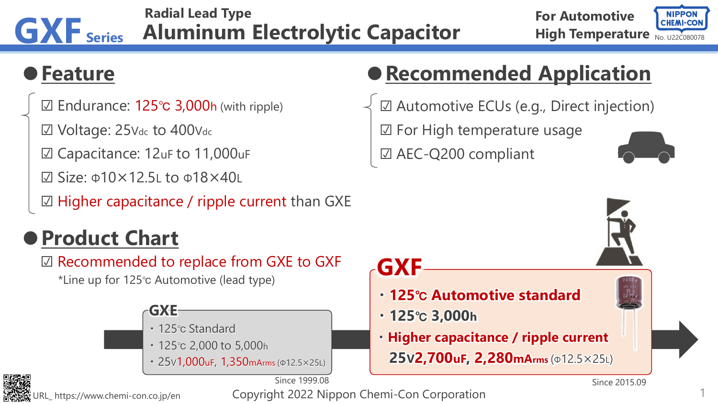#### **GXF Series Radial Lead Type Aluminum Electrolytic Capacitor**

#### **High Temperature** No. U22C080078 **For Automotive**



### **●Feature**

☑ Endurance: 125℃ 3,000h (with ripple)

☑ Voltage: 25Vdc to 400Vdc

- ☑ Capacitance: 12uF to 11,000uF
- ☑ Size: Φ10×12.5L to Φ18×40L

☑ Higher capacitance / ripple current than GXE

## **●Product Chart**

☑ Recommended to replace from GXE to GXF

\*Line up for 125℃ Automotive (lead type)

### **GXE**

- ・125℃ Standard
- ・125℃ 2,000 to 5,000h
- ・25V1,000uF, 1,350mArms (Φ12.5×25L)

Since 1999.08



Copyright 2022 Nippon Chemi-Con Corporation

# **●Recommended Application**

☑ Automotive ECUs (e.g., Direct injection) ☑ For High temperature usage ☑ AEC-Q200 compliant



- **・125**℃ **Automotive standard**
- **・125**℃ **3,000h**
- **・Higher capacitance / ripple current 25V2,700uF, 2,280mArms** (Φ12.5×25L)

Since 2015.09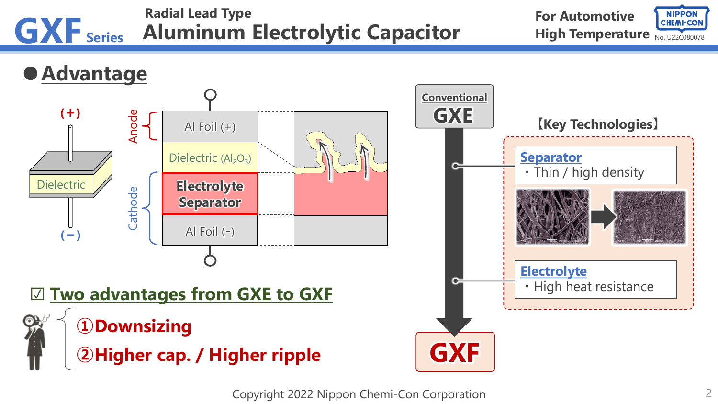

Copyright 2022 Nippon Chemi-Con Corporation 2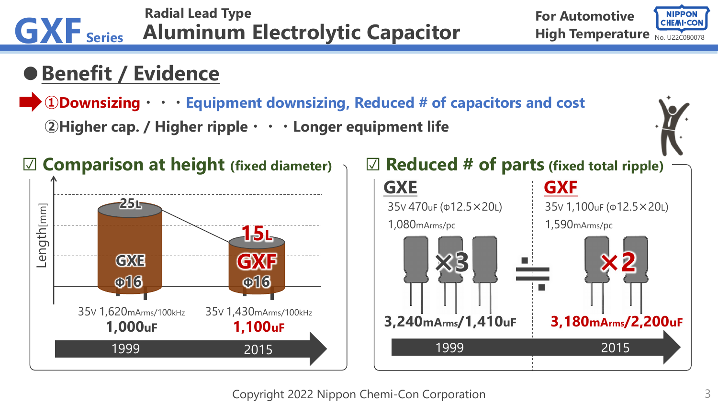

Copyright 2022 Nippon Chemi-Con Corporation 3